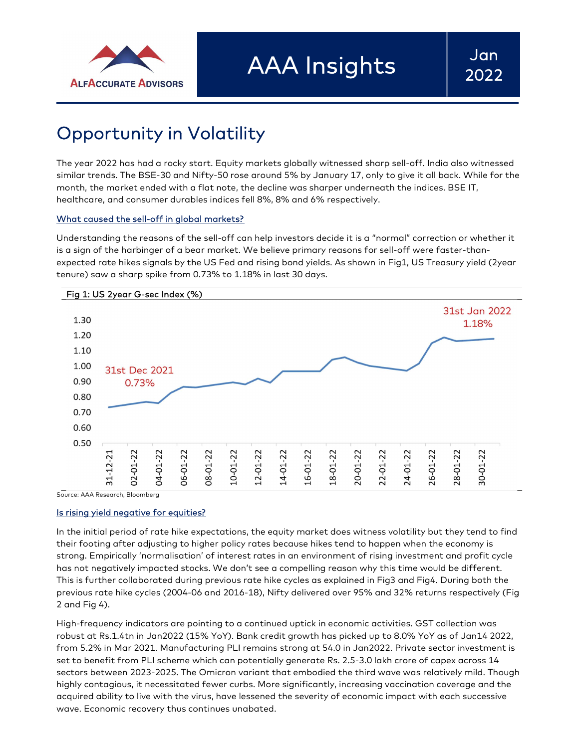

# Opportunity in Volatility

The year 2022 has had a rocky start. Equity markets globally witnessed sharp sell-off. India also witnessed similar trends. The BSE-30 and Nifty-50 rose around 5% by January 17, only to give it all back. While for the month, the market ended with a flat note, the decline was sharper underneath the indices. BSE IT, healthcare, and consumer durables indices fell 8%, 8% and 6% respectively.

## What caused the sell-off in global markets?

Understanding the reasons of the sell-off can help investors decide it is a "normal" correction or whether it is a sign of the harbinger of a bear market. We believe primary reasons for sell-off were faster-thanexpected rate hikes signals by the US Fed and rising bond yields. As shown in Fig1, US Treasury yield (2year tenure) saw a sharp spike from 0.73% to 1.18% in last 30 days.



## Is rising yield negative for equities?

In the initial period of rate hike expectations, the equity market does witness volatility but they tend to find their footing after adjusting to higher policy rates because hikes tend to happen when the economy is strong. Empirically 'normalisation' of interest rates in an environment of rising investment and profit cycle has not negatively impacted stocks. We don't see a compelling reason why this time would be different. This is further collaborated during previous rate hike cycles as explained in Fig3 and Fig4. During both the previous rate hike cycles (2004-06 and 2016-18), Nifty delivered over 95% and 32% returns respectively (Fig 2 and Fig 4).

High-frequency indicators are pointing to a continued uptick in economic activities. GST collection was robust at Rs.1.4tn in Jan2022 (15% YoY). Bank credit growth has picked up to 8.0% YoY as of Jan14 2022, from 5.2% in Mar 2021. Manufacturing PLI remains strong at 54.0 in Jan2022. Private sector investment is set to benefit from PLI scheme which can potentially generate Rs. 2.5-3.0 lakh crore of capex across 14 sectors between 2023-2025. The Omicron variant that embodied the third wave was relatively mild. Though highly contagious, it necessitated fewer curbs. More significantly, increasing vaccination coverage and the acquired ability to live with the virus, have lessened the severity of economic impact with each successive wave. Economic recovery thus continues unabated.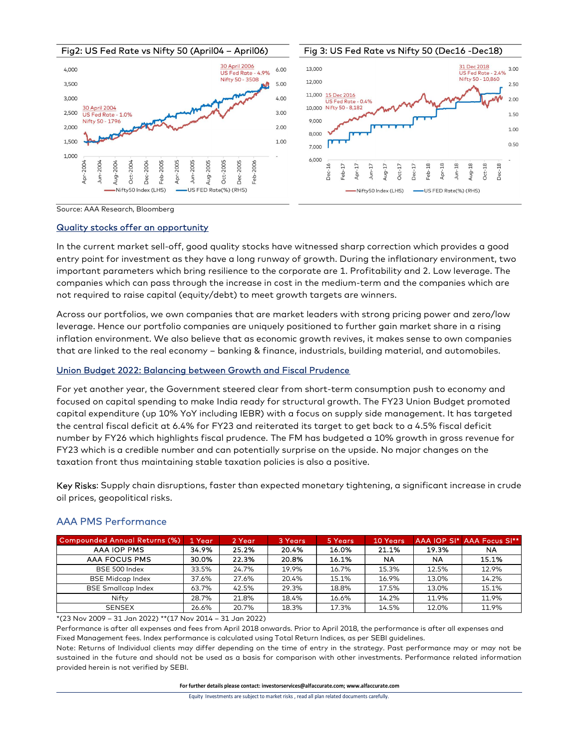

Source: AAA Research, Bloomberg

#### Quality stocks offer an opportunity

In the current market sell-off, good quality stocks have witnessed sharp correction which provides a good entry point for investment as they have a long runway of growth. During the inflationary environment, two important parameters which bring resilience to the corporate are 1. Profitability and 2. Low leverage. The companies which can pass through the increase in cost in the medium-term and the companies which are not required to raise capital (equity/debt) to meet growth targets are winners.

Across our portfolios, we own companies that are market leaders with strong pricing power and zero/low leverage. Hence our portfolio companies are uniquely positioned to further gain market share in a rising inflation environment. We also believe that as economic growth revives, it makes sense to own companies that are linked to the real economy – banking & finance, industrials, building material, and automobiles.

## Union Budget 2022: Balancing between Growth and Fiscal Prudence

For yet another year, the Government steered clear from short-term consumption push to economy and focused on capital spending to make India ready for structural growth. The FY23 Union Budget promoted capital expenditure (up 10% YoY including IEBR) with a focus on supply side management. It has targeted the central fiscal deficit at 6.4% for FY23 and reiterated its target to get back to a 4.5% fiscal deficit number by FY26 which highlights fiscal prudence. The FM has budgeted a 10% growth in gross revenue for FY23 which is a credible number and can potentially surprise on the upside. No major changes on the taxation front thus maintaining stable taxation policies is also a positive. Ncross our portfolios, we own componies that are market leaders with strong pricing power and zero/low<br>
everage. Hence our portfolio componies are uniquely positioned to further gain market shere in a rising<br>
Annual Return r prortfolios, we own companies that are morket leaders with strong pricing power and zero/low<br>
Hence our portfolio companies are uniquely positioned to further gain market share in a rising<br>
environment. We also believe t e. Hence our portfolio companies are uniquely positioned to further gain market share in a rising<br>
in environment. We also believe that as economic growth revives, it makes sense to own companies<br>
il linked to the real eco environment. We also believe that as economic growth revives, it makes sense to own companies<br>
inked to the real economy – banking & finance, industrials, building material, and automobiles.<br> **dget 2022: Balancing between** Filminolitics... version the endication of the section in the section of the matricials, building material, and automobiles.<br>
Udget 2022: Belancing between Growth and Fiscal Prudence<br>
another year, the Government steered e linked to the real economy – banking & finance, industrials, building material, and automobiles,<br>
and and the Covernment steered clear from short-term consumption push to economy and<br>
another year, the Government steered 12.022: Balancing between Growth and Fiscal Prudence<br>
the reverse, and Fiscal Prudence<br>
the frequency the Dovemment steered clear from short-term consumption push to economy and<br>
diditire (up 10% Yo' including IEBR) with et 2022: Islancing between Growth and Fiscal Prudence<br>
capital spending to moke India ready for structural growth. The FY23 Union Budget promoted<br>
capital spending to moke India ready for structural growth. The FY23 Union

Key Risks: Supply chain disruptions, faster than expected monetary tightening, a significant increase in crude oil prices, geopolitical risks.

| <b>Compounded Annual Returns (%)</b> | 1 Year | 2 Year | 3 Years | 5 Years | <b>10 Years</b> |           | AAA IOP SI* AAA Focus SI** |
|--------------------------------------|--------|--------|---------|---------|-----------------|-----------|----------------------------|
| <b>AAA IOP PMS</b>                   | 34.9%  | 25.2%  | 20.4%   | 16.0%   | 21.1%           | 19.3%     | NA                         |
| AAA FOCUS PMS                        | 30.0%  | 22.3%  | 20.8%   | 16.1%   | NA              | <b>NA</b> | 15.1%                      |
| BSE 500 Index                        | 33.5%  | 24.7%  | 19.9%   | 16.7%   | 15.3%           | 12.5%     | 12.9%                      |
| <b>BSE Midcap Index</b>              | 37.6%  | 27.6%  | 20.4%   | 15.1%   | 16.9%           | 13.0%     | 14.2%                      |
| <b>BSE Smallcap Index</b>            | 63.7%  | 42.5%  | 29.3%   | 18.8%   | 17.5%           | 13.0%     | 15.1%                      |
| Nifty                                | 28.7%  | 21.8%  | 18.4%   | 16.6%   | 14.2%           | 11.9%     | 11.9%                      |
| <b>SENSEX</b>                        | 26.6%  | 20.7%  | 18.3%   | 17.3%   | 14.5%           | 12.0%     | 11.9%                      |

## AAA PMS Performance

\*(23 Nov 2009 – 31 Jan 2022) \*\*(17 Nov 2014 – 31 Jan 2022)

Performance is after all expenses and fees from April 2018 onwards. Prior to April 2018, the performance is after all expenses and Fixed Management fees. Index performance is calculated using Total Return Indices, as per SEBI guidelines.

Note: Returns of Individual clients may differ depending on the time of entry in the strategy. Past performance may or may not be sustained in the future and should not be used as a basis for comparison with other investments. Performance related information provided herein is not verified by SEBI.

For further details please contact: investorservices@alfaccurate.com; www.alfaccurate.com

Equity Investments are subject to market risks , read all plan related documents carefully.